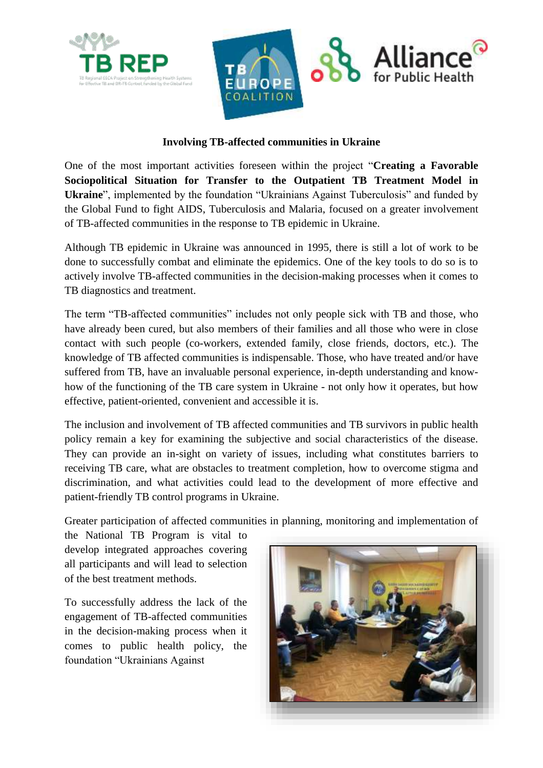



## **Involving TB-affected communities in Ukraine**

One of the most important activities foreseen within the project "**Creating a Favorable Sociopolitical Situation for Transfer to the Outpatient TB Treatment Model in Ukraine**", implemented by the foundation "Ukrainians Against Tuberculosis" and funded by the Global Fund to fight AIDS, Tuberculosis and Malaria, focused on a greater involvement of TB-affected communities in the response to TB epidemic in Ukraine.

Although TB epidemic in Ukraine was announced in 1995, there is still a lot of work to be done to successfully combat and eliminate the epidemics. One of the key tools to do so is to actively involve TB-affected communities in the decision-making processes when it comes to TB diagnostics and treatment.

The term "TB-affected communities" includes not only people sick with TB and those, who have already been cured, but also members of their families and all those who were in close contact with such people (co-workers, extended family, close friends, doctors, etc.). The knowledge of TB affected communities is indispensable. Those, who have treated and/or have suffered from TB, have an invaluable personal experience, in-depth understanding and knowhow of the functioning of the TB care system in Ukraine - not only how it operates, but how effective, patient-oriented, convenient and accessible it is.

The inclusion and involvement of TB affected communities and TB survivors in public health policy remain a key for examining the subjective and social characteristics of the disease. They can provide an in-sight on variety of issues, including what constitutes barriers to receiving TB care, what are obstacles to treatment completion, how to overcome stigma and discrimination, and what activities could lead to the development of more effective and patient-friendly TB control programs in Ukraine.

Greater participation of affected communities in planning, monitoring and implementation of

the National TB Program is vital to develop integrated approaches covering all participants and will lead to selection of the best treatment methods.

To successfully address the lack of the engagement of TB-affected communities in the decision-making process when it comes to public health policy, the foundation "Ukrainians Against

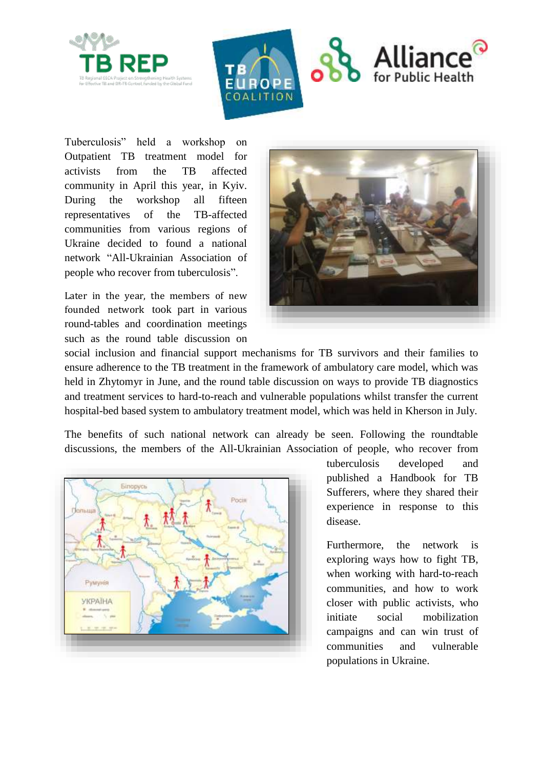



Tuberculosis" held a workshop on Outpatient TB treatment model for activists from the TB affected community in April this year, in Kyiv. During the workshop all fifteen representatives of the TB-affected communities from various regions of Ukraine decided to found a national network "All-Ukrainian Association of people who recover from tuberculosis".

Later in the year, the members of new founded network took part in various round-tables and coordination meetings such as the round table discussion on



social inclusion and financial support mechanisms for TB survivors and their families to ensure adherence to the TB treatment in the framework of ambulatory care model, which was held in Zhytomyr in June, and the round table discussion on ways to provide TB diagnostics and treatment services to hard-to-reach and vulnerable populations whilst transfer the current hospital-bed based system to ambulatory treatment model, which was held in Kherson in July.

The benefits of such national network can already be seen. Following the roundtable discussions, the members of the All-Ukrainian Association of people, who recover from



tuberculosis developed and published a Handbook for TB Sufferers, where they shared their experience in response to this disease.

Furthermore, the network is exploring ways how to fight TB, when working with hard-to-reach communities, and how to work closer with public activists, who initiate social mobilization campaigns and can win trust of communities and vulnerable populations in Ukraine.